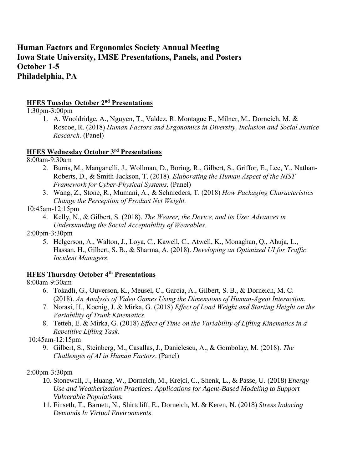# **Human Factors and Ergonomics Society Annual Meeting Iowa State University, IMSE Presentations, Panels, and Posters October 1-5 Philadelphia, PA**

# **HFES Tuesday October 2<sup>nd</sup> Presentations**

1:30pm-3:00pm

1. A. Wooldridge, A., Nguyen, T., Valdez, R. Montague E., Milner, M., Dorneich, M. & Roscoe, R. (2018) *Human Factors and Ergonomics in Diversity, Inclusion and Social Justice Research.* (Panel)

#### **HFES Wednesday October 3rd Presentations**

8:00am-9:30am

- 2. Burns, M., Manganelli, J., Wollman, D., Boring, R., Gilbert, S., Griffor, E., Lee, Y., Nathan-Roberts, D., & Smith-Jackson, T. (2018). *Elaborating the Human Aspect of the NIST Framework for Cyber-Physical Systems.* (Panel)
- 3. Wang, Z., Stone, R., Mumani, A., & Schnieders, T. (2018) *How Packaging Characteristics Change the Perception of Product Net Weight.*

10:45am-12:15pm

- 4. Kelly, N., & Gilbert, S. (2018). *The Wearer, the Device, and its Use: Advances in Understanding the Social Acceptability of Wearables.*
- 2:00pm-3:30pm
	- 5. Helgerson, A., Walton, J., Loya, C., Kawell, C., Atwell, K., Monaghan, Q., Ahuja, L., Hassan, H., Gilbert, S. B., & Sharma, A. (2018). *Developing an Optimized UI for Traffic Incident Managers.*

# **HFES Thursday October 4th Presentations**

8:00am-9:30am

- 6. Tokadli, G., Ouverson, K., Meusel, C., Garcia, A., Gilbert, S. B., & Dorneich, M. C. (2018). *An Analysis of Video Games Using the Dimensions of Human-Agent Interaction.*
- 7. Norasi, H., Koenig, J. & Mirka, G. (2018) *Effect of Load Weight and Starting Height on the Variability of Trunk Kinematics.*
- 8. Tetteh, E. & Mirka, G. (2018) *Effect of Time on the Variability of Lifting Kinematics in a Repetitive Lifting Task.*

10:45am-12:15pm

9. Gilbert, S., Steinberg, M., Casallas, J., Danielescu, A., & Gombolay, M. (2018). *The Challenges of AI in Human Factors*. (Panel)

# 2:00pm-3:30pm

- 10. Stonewall, J., Huang, W., Dorneich, M., Krejci, C., Shenk, L., & Passe, U. (2018) *Energy Use and Weatherization Practices: Applications for Agent-Based Modeling to Support Vulnerable Populations.*
- 11. Finseth, T., Barnett, N., Shirtcliff, E., Dorneich, M. & Keren, N. (2018) *Stress Inducing Demands In Virtual Environments*.